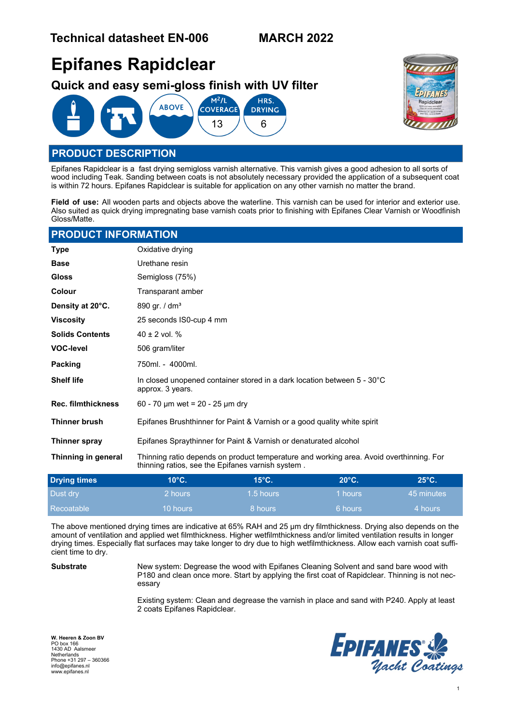# **Epifanes Rapidclear**

**Quick and easy semi-gloss finish with UV filter**





## **PRODUCT DESCRIPTION**

Epifanes Rapidclear is a fast drying semigloss varnish alternative. This varnish gives a good adhesion to all sorts of wood including Teak. Sanding between coats is not absolutely necessary provided the application of a subsequent coat is within 72 hours. Epifanes Rapidclear is suitable for application on any other varnish no matter the brand.

**Field of use:** All wooden parts and objects above the waterline. This varnish can be used for interior and exterior use. Also suited as quick drying impregnating base varnish coats prior to finishing with Epifanes Clear Varnish or Woodfinish Gloss/Matte.

#### **PRODUCT INFORMATION**

| <b>Type</b>               | Oxidative drying                                                                                                                             |      |                |                |  |
|---------------------------|----------------------------------------------------------------------------------------------------------------------------------------------|------|----------------|----------------|--|
| <b>Base</b>               | Urethane resin                                                                                                                               |      |                |                |  |
| <b>Gloss</b>              | Semigloss (75%)                                                                                                                              |      |                |                |  |
| Colour                    | Transparant amber                                                                                                                            |      |                |                |  |
| Density at 20°C.          | 890 gr. / $dm^3$                                                                                                                             |      |                |                |  |
| <b>Viscosity</b>          | 25 seconds IS0-cup 4 mm                                                                                                                      |      |                |                |  |
| <b>Solids Contents</b>    | $40 \pm 2$ vol. %                                                                                                                            |      |                |                |  |
| <b>VOC-level</b>          | 506 gram/liter                                                                                                                               |      |                |                |  |
| Packing                   | 750ml. - 4000ml.                                                                                                                             |      |                |                |  |
| <b>Shelf life</b>         | In closed unopened container stored in a dark location between 5 - 30°C<br>approx. 3 years.                                                  |      |                |                |  |
| <b>Rec. filmthickness</b> | 60 - 70 µm wet = 20 - 25 µm dry                                                                                                              |      |                |                |  |
| <b>Thinner brush</b>      | Epifanes Brushthinner for Paint & Varnish or a good quality white spirit                                                                     |      |                |                |  |
| Thinner spray             | Epifanes Spraythinner for Paint & Varnish or denaturated alcohol                                                                             |      |                |                |  |
| Thinning in general       | Thinning ratio depends on product temperature and working area. Avoid overthinning. For<br>thinning ratios, see the Epifanes varnish system. |      |                |                |  |
| Drving times              | $10^{\circ}$ C                                                                                                                               | 15°C | $20^{\circ}$ C | $25^{\circ}$ C |  |

| <b>Drying times</b> | $10^{\circ}$ C. | $15^\circ$ C. | $20^{\circ}$ C. | $25^{\circ}$ C. |
|---------------------|-----------------|---------------|-----------------|-----------------|
| Dust drv            | 2 hours         | 1.5 hours     | 1 hours         | 45 minutes      |
| Recoatable          | 10 hours        | 8 hours       | 6 hours         | 74 hours /      |

The above mentioned drying times are indicative at 65% RAH and 25 µm dry filmthickness. Drying also depends on the amount of ventilation and applied wet filmthickness. Higher wetfilmthickness and/or limited ventilation results in longer drying times. Especially flat surfaces may take longer to dry due to high wetfilmthickness. Allow each varnish coat sufficient time to dry.

**Substrate** New system: Degrease the wood with Epifanes Cleaning Solvent and sand bare wood with P180 and clean once more. Start by applying the first coat of Rapidclear. Thinning is not necessary

> Existing system: Clean and degrease the varnish in place and sand with P240. Apply at least 2 coats Epifanes Rapidclear.

**W. Heeren & Zoon BV** PO box 166 1430 AD Aalsmeer Netherlands Phone +31 297 – 360366 info@epifanes.nl www.epifanes.nl